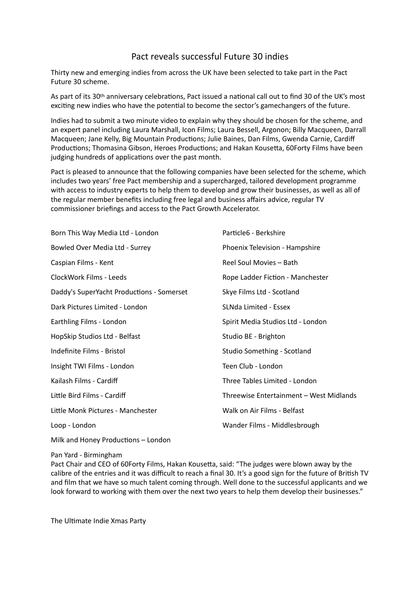## Pact reveals successful Future 30 indies

Thirty new and emerging indies from across the UK have been selected to take part in the Pact Future 30 scheme.

As part of its 30th anniversary celebrations, Pact issued a national call out to find 30 of the UK's most exciting new indies who have the potential to become the sector's gamechangers of the future.

Indies had to submit a two minute video to explain why they should be chosen for the scheme, and an expert panel including Laura Marshall, Icon Films; Laura Bessell, Argonon; Billy Macqueen, Darrall Macqueen; Jane Kelly, Big Mountain Productions; Julie Baines, Dan Films, Gwenda Carnie, Cardiff Productions; Thomasina Gibson, Heroes Productions; and Hakan Kousetta, 60Forty Films have been judging hundreds of applications over the past month.

Pact is pleased to announce that the following companies have been selected for the scheme, which includes two years' free Pact membership and a supercharged, tailored development programme with access to industry experts to help them to develop and grow their businesses, as well as all of the regular member benefits including free legal and business affairs advice, regular TV commissioner briefings and access to the Pact Growth Accelerator.

| Born This Way Media Ltd - London          | Particle6 - Berkshire                   |
|-------------------------------------------|-----------------------------------------|
| Bowled Over Media Ltd - Surrey            | Phoenix Television - Hampshire          |
| Caspian Films - Kent                      | Reel Soul Movies - Bath                 |
| ClockWork Films - Leeds                   | Rope Ladder Fiction - Manchester        |
| Daddy's SuperYacht Productions - Somerset | Skye Films Ltd - Scotland               |
| Dark Pictures Limited - London            | <b>SLNda Limited - Essex</b>            |
| Earthling Films - London                  | Spirit Media Studios Ltd - London       |
| HopSkip Studios Ltd - Belfast             | Studio BE - Brighton                    |
| Indefinite Films - Bristol                | Studio Something - Scotland             |
| Insight TWI Films - London                | Teen Club - London                      |
| Kailash Films - Cardiff                   | Three Tables Limited - London           |
| Little Bird Films - Cardiff               | Threewise Entertainment - West Midlands |
| Little Monk Pictures - Manchester         | Walk on Air Films - Belfast             |
| Loop - London                             | Wander Films - Middlesbrough            |

Milk and Honey Productions – London

Pan Yard - Birmingham

Pact Chair and CEO of 60Forty Films, Hakan Kousetta, said: "The judges were blown away by the calibre of the entries and it was difficult to reach a final 30. It's a good sign for the future of British TV and film that we have so much talent coming through. Well done to the successful applicants and we look forward to working with them over the next two vears to help them develop their businesses."

The Ultimate Indie Xmas Party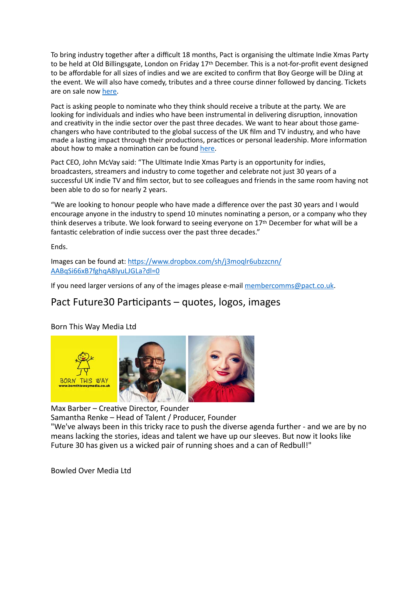To bring industry together after a difficult 18 months, Pact is organising the ultimate Indie Xmas Party to be held at Old Billingsgate, London on Friday 17<sup>th</sup> December. This is a not-for-profit event designed to be affordable for all sizes of indies and we are excited to confirm that Boy George will be DJing at the event. We will also have comedy, tributes and a three course dinner followed by dancing. Tickets are on sale now [here](https://www.pact.co.uk/indie-xmas-party.html).

Pact is asking people to nominate who they think should receive a tribute at the party. We are looking for individuals and indies who have been instrumental in delivering disruption, innovation and creativity in the indie sector over the past three decades. We want to hear about those gamechangers who have contributed to the global success of the UK film and TV industry, and who have made a lasting impact through their productions, practices or personal leadership. More information about how to make a nomination can be found [here](https://docs.google.com/forms/d/e/1FAIpQLSfLHOu2rcT6USd-IhxJwjwhX6LF2ht8xhZt1iBvAQxChThzdw/viewform).

Pact CEO, John McVay said: "The Ultimate Indie Xmas Party is an opportunity for indies, broadcasters, streamers and industry to come together and celebrate not just 30 years of a successful UK indie TV and film sector, but to see colleagues and friends in the same room having not been able to do so for nearly 2 years.

"We are looking to honour people who have made a difference over the past 30 years and I would encourage anyone in the industry to spend 10 minutes nominating a person, or a company who they think deserves a tribute. We look forward to seeing everyone on 17th December for what will be a fantastic celebration of indie success over the past three decades."

Ends.

[Images can be found at: https://www.dropbox.com/sh/j3moqlr6ubzzcnn/](https://www.dropbox.com/sh/j3moqlr6ubzzcnn/AABqSi66xB7fghqA8lyuLJGLa?dl=0) [AABqSi66xB7fghqA8lyuLJGLa?dl=0](https://www.dropbox.com/sh/j3moqlr6ubzzcnn/AABqSi66xB7fghqA8lyuLJGLa?dl=0)

If you need larger versions of any of the images please e-mail [membercomms@pact.co.uk.](mailto:membercomms@pact.co.uk)

## Pact Future30 Participants – quotes, logos, images

### Born This Way Media Ltd



Max Barber – Creative Director, Founder

Samantha Renke – Head of Talent / Producer, Founder

"We've always been in this tricky race to push the diverse agenda further - and we are by no means lacking the stories, ideas and talent we have up our sleeves. But now it looks like Future 30 has given us a wicked pair of running shoes and a can of Redbull!"

Bowled Over Media Ltd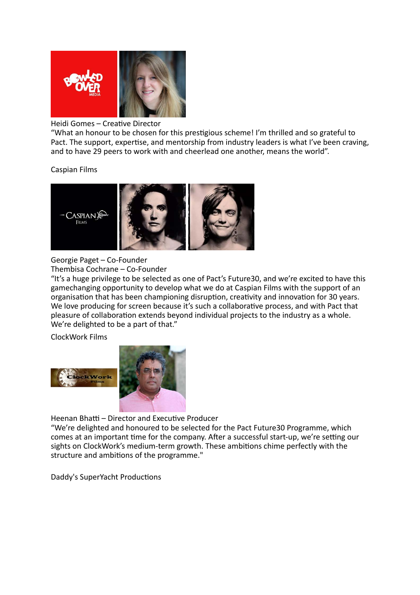

### Heidi Gomes – Creative Director

"What an honour to be chosen for this prestigious scheme! I'm thrilled and so grateful to Pact. The support, expertise, and mentorship from industry leaders is what I've been craving, and to have 29 peers to work with and cheerlead one another, means the world".

Caspian Films



Georgie Paget – Co-Founder Thembisa Cochrane – Co-Founder

"It's a huge privilege to be selected as one of Pact's Future30, and we're excited to have this gamechanging opportunity to develop what we do at Caspian Films with the support of an organisation that has been championing disruption, creativity and innovation for 30 years. We love producing for screen because it's such a collaborative process, and with Pact that pleasure of collaboration extends beyond individual projects to the industry as a whole. We're delighted to be a part of that."

ClockWork Films





Heenan Bhatti – Director and Executive Producer

"We're delighted and honoured to be selected for the Pact Future30 Programme, which comes at an important time for the company. After a successful start-up, we're setting our sights on ClockWork's medium-term growth. These ambitions chime perfectly with the structure and ambitions of the programme."

Daddy's SuperYacht Productions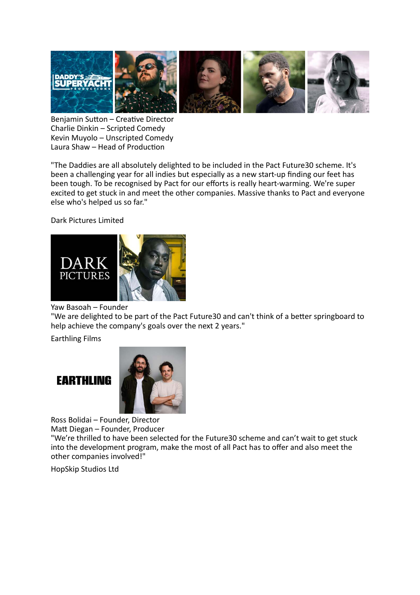

Benjamin Sutton – Creative Director Charlie Dinkin – Scripted Comedy Kevin Muyolo – Unscripted Comedy Laura Shaw – Head of Production

"The Daddies are all absolutely delighted to be included in the Pact Future30 scheme. It's been a challenging year for all indies but especially as a new start-up finding our feet has been tough. To be recognised by Pact for our efforts is really heart-warming. We're super excited to get stuck in and meet the other companies. Massive thanks to Pact and everyone else who's helped us so far."

Dark Pictures Limited



Yaw Basoah – Founder

"We are delighted to be part of the Pact Future30 and can't think of a better springboard to help achieve the company's goals over the next 2 years."

Earthling Films

# *EARTHLING*



Ross Bolidai – Founder, Director

Matt Diegan – Founder, Producer

"We're thrilled to have been selected for the Future30 scheme and can't wait to get stuck into the development program, make the most of all Pact has to offer and also meet the other companies involved!"

HopSkip Studios Ltd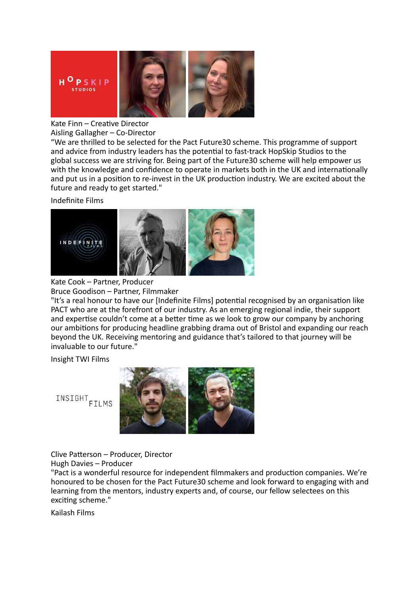

Kate Finn – Creative Director Aisling Gallagher – Co-Director

"We are thrilled to be selected for the Pact Future30 scheme. This programme of support and advice from industry leaders has the potential to fast-track HopSkip Studios to the global success we are striving for. Being part of the Future30 scheme will help empower us with the knowledge and confidence to operate in markets both in the UK and internationally and put us in a position to re-invest in the UK production industry. We are excited about the future and ready to get started."

Indefinite Films



Kate Cook – Partner, Producer Bruce Goodison – Partner, Filmmaker

"It's a real honour to have our [Indefinite Films] potential recognised by an organisation like PACT who are at the forefront of our industry. As an emerging regional indie, their support and expertise couldn't come at a better time as we look to grow our company by anchoring our ambitions for producing headline grabbing drama out of Bristol and expanding our reach beyond the UK. Receiving mentoring and guidance that's tailored to that journey will be invaluable to our future."

Insight TWI Films

INSIGHT<sub>FILMS</sub>



Clive Patterson – Producer, Director

Hugh Davies – Producer

"Pact is a wonderful resource for independent filmmakers and production companies. We're honoured to be chosen for the Pact Future30 scheme and look forward to engaging with and learning from the mentors, industry experts and, of course, our fellow selectees on this exciting scheme."

Kailash Films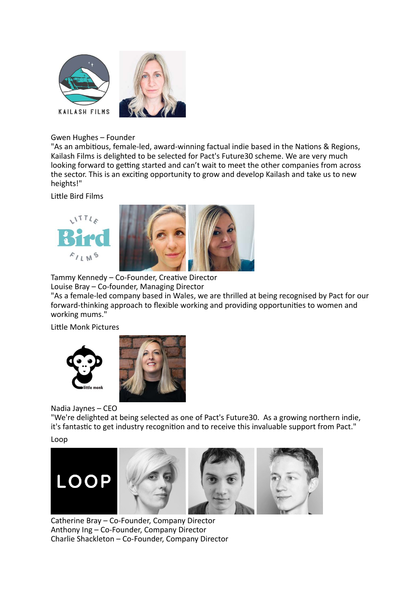

Gwen Hughes – Founder

"As an ambitious, female-led, award-winning factual indie based in the Nations & Regions, Kailash Films is delighted to be selected for Pact's Future30 scheme. We are very much looking forward to getting started and can't wait to meet the other companies from across the sector. This is an exciting opportunity to grow and develop Kailash and take us to new heights!"

Little Bird Films



Tammy Kennedy – Co-Founder, Creative Director Louise Bray – Co-founder, Managing Director "As a female-led company based in Wales, we are thrilled at being recognised by Pact for our forward-thinking approach to flexible working and providing opportunities to women and working mums."

Little Monk Pictures





Nadia Jaynes – CEO

"We're delighted at being selected as one of Pact's Future30. As a growing northern indie, it's fantastic to get industry recognition and to receive this invaluable support from Pact."

Loop



Catherine Bray – Co-Founder, Company Director Anthony Ing – Co-Founder, Company Director Charlie Shackleton – Co-Founder, Company Director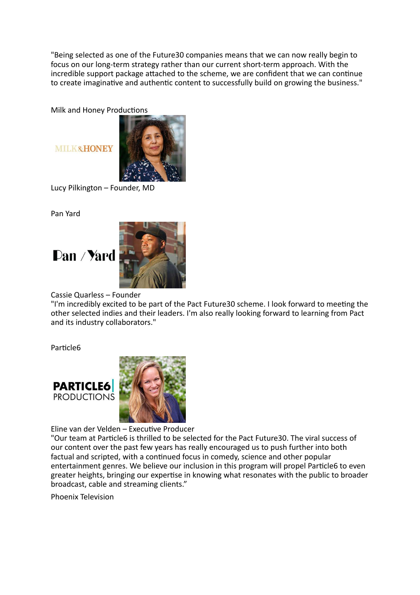"Being selected as one of the Future30 companies means that we can now really begin to focus on our long-term strategy rather than our current short-term approach. With the incredible support package attached to the scheme, we are confident that we can continue to create imaginative and authentic content to successfully build on growing the business."

Milk and Honey Productions

**MILK&HONEY** 



Lucy Pilkington – Founder, MD

Pan Yard





Cassie Quarless – Founder

"I'm incredibly excited to be part of the Pact Future30 scheme. I look forward to meeting the other selected indies and their leaders. I'm also really looking forward to learning from Pact and its industry collaborators."

Particle6





Eline van der Velden – Executive Producer

"Our team at Particle6 is thrilled to be selected for the Pact Future30. The viral success of our content over the past few years has really encouraged us to push further into both factual and scripted, with a continued focus in comedy, science and other popular entertainment genres. We believe our inclusion in this program will propel Particle6 to even greater heights, bringing our expertise in knowing what resonates with the public to broader broadcast, cable and streaming clients."

Phoenix Television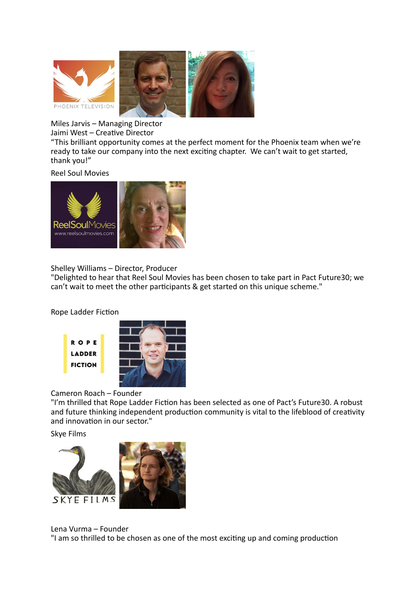

Miles Jarvis – Managing Director

Jaimi West – Creative Director

"This brilliant opportunity comes at the perfect moment for the Phoenix team when we're ready to take our company into the next exciting chapter. We can't wait to get started, thank you!"

Reel Soul Movies



Shelley Williams – Director, Producer

"Delighted to hear that Reel Soul Movies has been chosen to take part in Pact Future30; we can't wait to meet the other participants & get started on this unique scheme."

Rope Ladder Fiction





Cameron Roach – Founder

"I'm thrilled that Rope Ladder Fiction has been selected as one of Pact's Future30. A robust and future thinking independent production community is vital to the lifeblood of creativity and innovation in our sector."

Skye Films



Lena Vurma – Founder

"I am so thrilled to be chosen as one of the most exciting up and coming production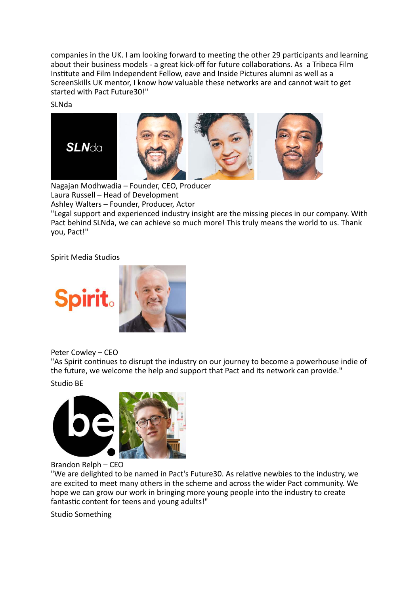companies in the UK. I am looking forward to meeting the other 29 participants and learning about their business models - a great kick-off for future collaborations. As a Tribeca Film Institute and Film Independent Fellow, eave and Inside Pictures alumni as well as a ScreenSkills UK mentor, I know how valuable these networks are and cannot wait to get started with Pact Future30!"

SLNda



Nagajan Modhwadia – Founder, CEO, Producer Laura Russell – Head of Development Ashley Walters – Founder, Producer, Actor

"Legal support and experienced industry insight are the missing pieces in our company. With Pact behind SLNda, we can achieve so much more! This truly means the world to us. Thank you, Pact!"

Spirit Media Studios



Peter Cowley – CEO

"As Spirit continues to disrupt the industry on our journey to become a powerhouse indie of the future, we welcome the help and support that Pact and its network can provide."

## Studio BE



### Brandon Relph – CEO

"We are delighted to be named in Pact's Future30. As relative newbies to the industry, we are excited to meet many others in the scheme and across the wider Pact community. We hope we can grow our work in bringing more young people into the industry to create fantastic content for teens and young adults!"

Studio Something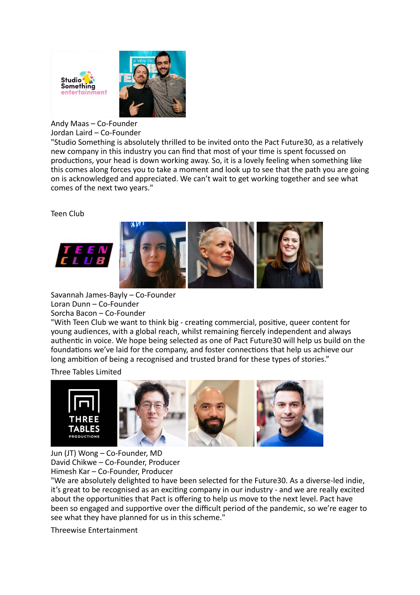

Andy Maas – Co-Founder Jordan Laird – Co-Founder

"Studio Something is absolutely thrilled to be invited onto the Pact Future30, as a relatively new company in this industry you can find that most of your time is spent focussed on productions, your head is down working away. So, it is a lovely feeling when something like this comes along forces you to take a moment and look up to see that the path you are going on is acknowledged and appreciated. We can't wait to get working together and see what comes of the next two years."

Teen Club



Savannah James-Bayly – Co-Founder Loran Dunn – Co-Founder Sorcha Bacon – Co-Founder

"With Teen Club we want to think big - creating commercial, positive, queer content for young audiences, with a global reach, whilst remaining fiercely independent and always authentic in voice. We hope being selected as one of Pact Future30 will help us build on the foundations we've laid for the company, and foster connections that help us achieve our long ambition of being a recognised and trusted brand for these types of stories."

### Three Tables Limited



Jun (JT) Wong – Co-Founder, MD David Chikwe – Co-Founder, Producer Himesh Kar – Co-Founder, Producer

"We are absolutely delighted to have been selected for the Future30. As a diverse-led indie, it's great to be recognised as an exciting company in our industry - and we are really excited about the opportunities that Pact is offering to help us move to the next level. Pact have been so engaged and supportive over the difficult period of the pandemic, so we're eager to see what they have planned for us in this scheme."

Threewise Entertainment